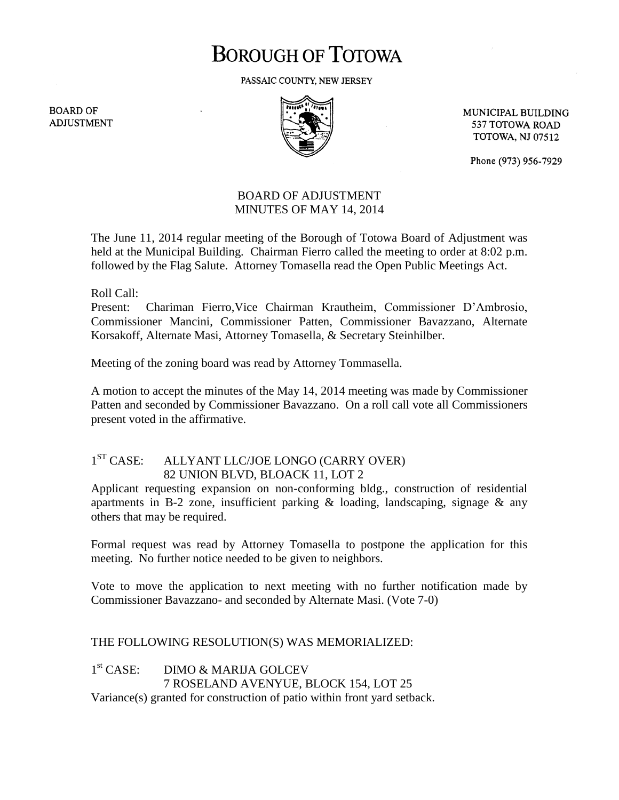## **BOROUGH OF TOTOWA**

PASSAIC COUNTY, NEW JERSEY

**BOARD OF ADJUSTMENT** 



MUNICIPAL BUILDING 537 TOTOWA ROAD **TOTOWA, NJ 07512** 

Phone (973) 956-7929

## BOARD OF ADJUSTMENT MINUTES OF MAY 14, 2014

The June 11, 2014 regular meeting of the Borough of Totowa Board of Adjustment was held at the Municipal Building. Chairman Fierro called the meeting to order at 8:02 p.m. followed by the Flag Salute. Attorney Tomasella read the Open Public Meetings Act.

Roll Call:

Present: Chariman Fierro,Vice Chairman Krautheim, Commissioner D'Ambrosio, Commissioner Mancini, Commissioner Patten, Commissioner Bavazzano, Alternate Korsakoff, Alternate Masi, Attorney Tomasella, & Secretary Steinhilber.

Meeting of the zoning board was read by Attorney Tommasella.

A motion to accept the minutes of the May 14, 2014 meeting was made by Commissioner Patten and seconded by Commissioner Bavazzano. On a roll call vote all Commissioners present voted in the affirmative.

## $1<sup>ST</sup> CASE:$ ALLYANT LLC/JOE LONGO (CARRY OVER) 82 UNION BLVD, BLOACK 11, LOT 2

Applicant requesting expansion on non-conforming bldg., construction of residential apartments in B-2 zone, insufficient parking  $\&$  loading, landscaping, signage  $\&$  any others that may be required.

Formal request was read by Attorney Tomasella to postpone the application for this meeting. No further notice needed to be given to neighbors.

Vote to move the application to next meeting with no further notification made by Commissioner Bavazzano- and seconded by Alternate Masi. (Vote 7-0)

THE FOLLOWING RESOLUTION(S) WAS MEMORIALIZED:

 $1<sup>st</sup> CASE:$ DIMO & MARIJA GOLCEV 7 ROSELAND AVENYUE, BLOCK 154, LOT 25 Variance(s) granted for construction of patio within front yard setback.